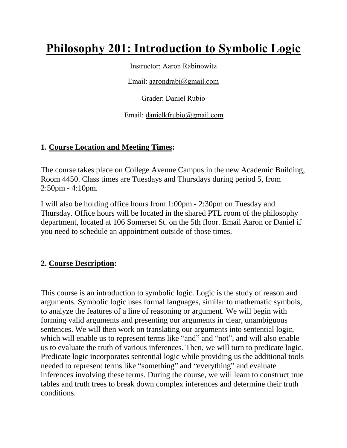# **Philosophy 201: Introduction to Symbolic Logic**

Instructor: Aaron Rabinowitz

Email: [aarondrabi@gmail.com](mailto:aarondrabi@gmail.com)

Grader: Daniel Rubio

Email: [danielkfrubio@gmail.com](mailto:danielkfrubio@gmail.com)

#### **1. Course Location and Meeting Times:**

The course takes place on College Avenue Campus in the new Academic Building, Room 4450. Class times are Tuesdays and Thursdays during period 5, from 2:50pm - 4:10pm.

I will also be holding office hours from 1:00pm - 2:30pm on Tuesday and Thursday. Office hours will be located in the shared PTL room of the philosophy department, located at 106 Somerset St. on the 5th floor. Email Aaron or Daniel if you need to schedule an appointment outside of those times.

## **2. Course Description:**

This course is an introduction to symbolic logic. Logic is the study of reason and arguments. Symbolic logic uses formal languages, similar to mathematic symbols, to analyze the features of a line of reasoning or argument. We will begin with forming valid arguments and presenting our arguments in clear, unambiguous sentences. We will then work on translating our arguments into sentential logic, which will enable us to represent terms like "and" and "not", and will also enable us to evaluate the truth of various inferences. Then, we will turn to predicate logic. Predicate logic incorporates sentential logic while providing us the additional tools needed to represent terms like "something" and "everything" and evaluate inferences involving these terms. During the course, we will learn to construct true tables and truth trees to break down complex inferences and determine their truth conditions.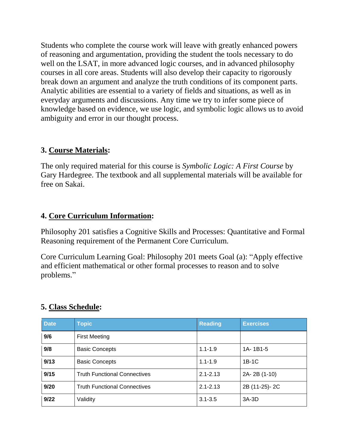Students who complete the course work will leave with greatly enhanced powers of reasoning and argumentation, providing the student the tools necessary to do well on the LSAT, in more advanced logic courses, and in advanced philosophy courses in all core areas. Students will also develop their capacity to rigorously break down an argument and analyze the truth conditions of its component parts. Analytic abilities are essential to a variety of fields and situations, as well as in everyday arguments and discussions. Any time we try to infer some piece of knowledge based on evidence, we use logic, and symbolic logic allows us to avoid ambiguity and error in our thought process.

#### **3. Course Materials:**

The only required material for this course is *Symbolic Logic: A First Course* by Gary Hardegree. The textbook and all supplemental materials will be available for free on Sakai.

## **4. Core Curriculum Information:**

Philosophy 201 satisfies a Cognitive Skills and Processes: Quantitative and Formal Reasoning requirement of the Permanent Core Curriculum.

Core Curriculum Learning Goal: Philosophy 201 meets Goal (a): "Apply effective and efficient mathematical or other formal processes to reason and to solve problems."

## **5. Class Schedule:**

| <b>Date</b> | <b>Topic</b>                        | <b>Reading</b>          | <b>Exercises</b> |  |  |
|-------------|-------------------------------------|-------------------------|------------------|--|--|
| 9/6         | <b>First Meeting</b>                |                         |                  |  |  |
| 9/8         | <b>Basic Concepts</b>               | 1A-1B1-5<br>$1.1 - 1.9$ |                  |  |  |
| 9/13        | <b>Basic Concepts</b>               | $1.1 - 1.9$             | $1B-1C$          |  |  |
| 9/15        | <b>Truth Functional Connectives</b> | $2.1 - 2.13$            | 2A-2B (1-10)     |  |  |
| 9/20        | <b>Truth Functional Connectives</b> | $2.1 - 2.13$            | 2B (11-25)-2C    |  |  |
| 9/22        | Validity                            | $3.1 - 3.5$             | 3A-3D            |  |  |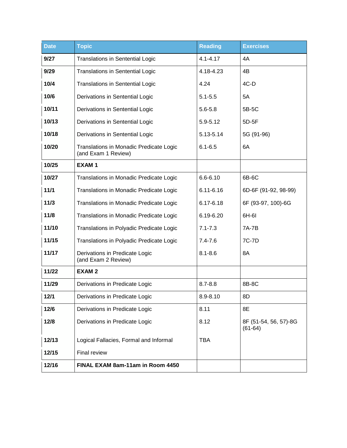| <b>Date</b> | <b>Topic</b>                                                   | <b>Reading</b> | <b>Exercises</b>                   |  |
|-------------|----------------------------------------------------------------|----------------|------------------------------------|--|
| 9/27        | <b>Translations in Sentential Logic</b>                        | $4.1 - 4.17$   | 4A                                 |  |
| 9/29        | <b>Translations in Sentential Logic</b>                        | 4.18-4.23      | 4B                                 |  |
| 10/4        | <b>Translations in Sentential Logic</b>                        | 4.24           | $4C-D$                             |  |
| 10/6        | Derivations in Sentential Logic                                | $5.1 - 5.5$    | 5A                                 |  |
| 10/11       | Derivations in Sentential Logic                                | $5.6 - 5.8$    | 5B-5C                              |  |
| 10/13       | Derivations in Sentential Logic                                | 5.9-5.12       | 5D-5F                              |  |
| 10/18       | Derivations in Sentential Logic                                | 5.13-5.14      | 5G (91-96)                         |  |
| 10/20       | Translations in Monadic Predicate Logic<br>(and Exam 1 Review) | $6.1 - 6.5$    | 6A                                 |  |
| 10/25       | EXAM <sub>1</sub>                                              |                |                                    |  |
| 10/27       | Translations in Monadic Predicate Logic                        | $6.6 - 6.10$   | 6B-6C                              |  |
| 11/1        | Translations in Monadic Predicate Logic                        | $6.11 - 6.16$  | 6D-6F (91-92, 98-99)               |  |
| 11/3        | Translations in Monadic Predicate Logic                        | 6.17-6.18      | 6F (93-97, 100)-6G                 |  |
| 11/8        | Translations in Monadic Predicate Logic                        | 6.19-6.20      | 6H-6I                              |  |
| 11/10       | Translations in Polyadic Predicate Logic                       | $7.1 - 7.3$    | 7A-7B                              |  |
| 11/15       | Translations in Polyadic Predicate Logic                       | $7.4 - 7.6$    | 7C-7D                              |  |
| 11/17       | Derivations in Predicate Logic<br>(and Exam 2 Review)          | $8.1 - 8.6$    | 8A                                 |  |
| 11/22       | <b>EXAM2</b>                                                   |                |                                    |  |
| 11/29       | Derivations in Predicate Logic                                 | $8.7 - 8.8$    | 8B-8C                              |  |
| 12/1        | Derivations in Predicate Logic                                 | $8.9 - 8.10$   | 8D                                 |  |
| 12/6        | Derivations in Predicate Logic                                 | 8.11           | 8E                                 |  |
| 12/8        | Derivations in Predicate Logic                                 | 8.12           | 8F (51-54, 56, 57)-8G<br>$(61-64)$ |  |
| 12/13       | Logical Fallacies, Formal and Informal                         | <b>TBA</b>     |                                    |  |
| 12/15       | Final review                                                   |                |                                    |  |
| 12/16       | FINAL EXAM 8am-11am in Room 4450                               |                |                                    |  |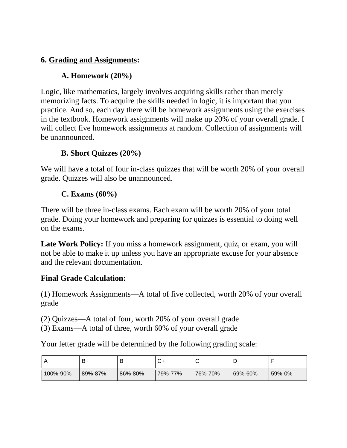## **6. Grading and Assignments:**

## **A. Homework (20%)**

Logic, like mathematics, largely involves acquiring skills rather than merely memorizing facts. To acquire the skills needed in logic, it is important that you practice. And so, each day there will be homework assignments using the exercises in the textbook. Homework assignments will make up 20% of your overall grade. I will collect five homework assignments at random. Collection of assignments will be unannounced.

## **B. Short Quizzes (20%)**

We will have a total of four in-class quizzes that will be worth 20% of your overall grade. Quizzes will also be unannounced.

#### **C. Exams (60%)**

There will be three in-class exams. Each exam will be worth 20% of your total grade. Doing your homework and preparing for quizzes is essential to doing well on the exams.

**Late Work Policy:** If you miss a homework assignment, quiz, or exam, you will not be able to make it up unless you have an appropriate excuse for your absence and the relevant documentation.

#### **Final Grade Calculation:**

(1) Homework Assignments—A total of five collected, worth 20% of your overall grade

(2) Quizzes—A total of four, worth 20% of your overall grade

(3) Exams—A total of three, worth 60% of your overall grade

Your letter grade will be determined by the following grading scale:

|          | B+      | В       |         | ັ       |         |        |
|----------|---------|---------|---------|---------|---------|--------|
| 100%-90% | 89%-87% | 86%-80% | 79%-77% | 76%-70% | 69%-60% | 59%-0% |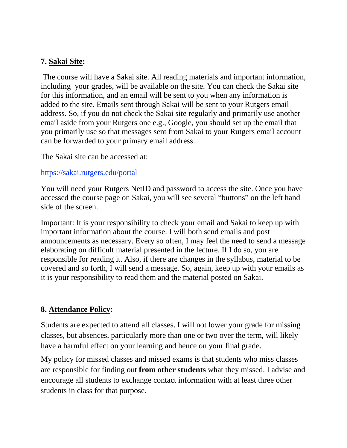#### **7. Sakai Site:**

The course will have a Sakai site. All reading materials and important information, including your grades, will be available on the site. You can check the Sakai site for this information, and an email will be sent to you when any information is added to the site. Emails sent through Sakai will be sent to your Rutgers email address. So, if you do not check the Sakai site regularly and primarily use another email aside from your Rutgers one e.g., Google, you should set up the email that you primarily use so that messages sent from Sakai to your Rutgers email account can be forwarded to your primary email address.

The Sakai site can be accessed at:

#### https://sakai.rutgers.edu/portal

You will need your Rutgers NetID and password to access the site. Once you have accessed the course page on Sakai, you will see several "buttons" on the left hand side of the screen.

Important: It is your responsibility to check your email and Sakai to keep up with important information about the course. I will both send emails and post announcements as necessary. Every so often, I may feel the need to send a message elaborating on difficult material presented in the lecture. If I do so, you are responsible for reading it. Also, if there are changes in the syllabus, material to be covered and so forth, I will send a message. So, again, keep up with your emails as it is your responsibility to read them and the material posted on Sakai.

## **8. Attendance Policy:**

Students are expected to attend all classes. I will not lower your grade for missing classes, but absences, particularly more than one or two over the term, will likely have a harmful effect on your learning and hence on your final grade.

My policy for missed classes and missed exams is that students who miss classes are responsible for finding out **from other students** what they missed. I advise and encourage all students to exchange contact information with at least three other students in class for that purpose.